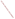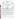### **THE ENVIRONMENTAL TECHNOLOGY VERIFICATION**

**PROGRAM**<br>File Contains Data for **PostScript Printers Only** 





# **ETV Joint Verification Statement**

|                                                      | TECHNOLOGY TYPE: PORTABLE EMISSION ANALYZER        |                              |                              |
|------------------------------------------------------|----------------------------------------------------|------------------------------|------------------------------|
| <b>APPLICATION:</b>                                  | DETERMINING NITROGEN OXIDES EMISSIONS              |                              |                              |
| <b>TECHNOLOGY NAME: PG-250 Portable Gas Analyzer</b> |                                                    |                              |                              |
| <b>COMPANY:</b>                                      | Horiba Instruments, Inc.                           |                              |                              |
| <b>ADDRESS:</b>                                      | 17671 Armstrong Avenue<br>Irvine, California 92614 | <b>PHONE:</b><br><b>FAX:</b> | 714-250-4811<br>714-250-0924 |
| <b>WEB SITE:</b>                                     | Http://www.horiba.com                              |                              |                              |
| E-MAIL:                                              | Info@horiba.com                                    |                              |                              |

The U.S. Environmental Protection Agency (EPA) has created the Environmental Technology Verification (ETV) Program to facilitate the deployment of innovative or improved environmental technologies through performance verification and dissemination of information. The goal of the ETV Program is to further environmental protection by substantially accelerating the acceptance and use of improved and cost-effective technologies. ETV seeks to achieve this goal by providing high quality, peer reviewed data on technology performance to those involved in the design, distribution, financing, permitting, purchase, and use of environmental technologies.

ETV works in partnership with recognized standards and testing organizations; stakeholder groups which consist of buyers, vendor organizations, and permitters; and with the full participation of individual technology developers. The program evaluates the performance of innovative technologies by developing test plans that are responsive to the needs of stakeholders, conducting field or laboratory tests (as appropriate), collecting and analyzing data, and preparing peer reviewed reports. All evaluations are conducted in accordance with rigorous quality assurance protocols to ensure that data of known and adequate quality are generated and that the results are defensible.

The Advanced Monitoring Systems (AMS) program, one of 12 technology areas under ETV, is operated by Battelle in cooperation with EPA's National Exposure Research Laboratory. AMS has recently evaluated the performance of portable nitrogen oxides monitors used to determine emissions from combustion sources. This verification statement provides a summary of the test results for the Horiba PG-250 Portable Emission Analyzer.

## **VERIFICATION TEST DESCRIPTION**

The verification test described in this report was one of a series of tests conducted in early 1999 on commercial portable nitrogen oxides analyzers at Battelle's facilities in Columbus, Ohio. Verification testing of the analyzers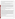involved (1) a series of laboratory tests in which certified NO and  $NO<sub>2</sub>$  standards were used to challenge the analyzers over a wide concentration range and (2) tests using realistic combustion sources, in which data from the portable analyzers undergoing testing were compared to simultaneous  $NO$  and  $NO<sub>x</sub>$  measurements obtained with two chemiluminescent analyzers.

Verification testing lasted three to four days, of which two days were required for laboratory testing and the remainder for source emissions testing. To assess inter-unit variability, two identical analyzers were tested simultaneously in all tests, and results from the two analyzers were kept separate. The analyzers were operated at all times by a representative of Horiba and supervised at all times by Battelle staff.

Verification testing focused on measurement of NO and NO<sub>2</sub>, the sum of which is denoted as  $NQ<sub>x</sub>$ . Laboratory testing included a linearity test over the entire nominal ranges of the analyzers for both NO and  $NO<sub>2</sub>$ ; estimation of detection limits and response times; interference testing; assessment of sample pressure and ambient temperature effects on analyzer response; and evaluation of zero and span drift during the various laboratory tests. Tests with combustion sources assessed the accuracy of  $NO$ ,  $NO<sub>2</sub>$ , and  $NO<sub>x</sub>$  measurements, relative to the chemiluminescent  $NO/NO<sub>x</sub>$  approach that is the basis of EPA Method 7E. Sources used in the testing were a gas-fired rangetop burner, a gas-fired water heater, and a diesel-powered electrical generator operated at both idle and at high RPM. These sources produced NO<sub>x</sub> emissions ranging from less than 10 to over 400 ppm. Zero and span drift resulting from exposure to source emissions were assessed, and analyzer stability was monitored during one hour of uninterrupted sampling of diesel emissions.

Quality assurance (QA) oversight of verification testing was provided by both Battelle and U.S. EPA. Battelle QA staff conducted a technical systems audit, a performance evaluation audit, and a data quality audit of 10 percent of the test data. EPA QA staff conducted an independent on-site technical system audit.

## **TECHNOLOGY DESCRIPTION**

The Horiba Model PG-250 multi-gas portable analyzer is 10.2 inches high, 10.2 inches wide, and 20.1 inches deep and weighs 37 pounds. The PG-250 provides the user with simultaneous analyses of CO, CO<sub>2</sub>, O<sub>2</sub>, NO<sub>3</sub>, and SO<sub>2</sub> in flue gas samples. Each gas constituent can be monitored over multiple ranges. The PG-250 employs non-dispersive infrared detection of  $SO_2$ , CO, and CO<sub>2</sub>; chemiluminescence detection of NO and NO<sub>x</sub>; and an electrochemical cell for  $O_2$  measurement. Only the NO/NO<sub>x</sub> measurement capabilities were verified in this test. Measurements of NO<sub>x</sub> are achieved with a low temperature converter that reduces  $NO<sub>2</sub>$  to NO for detection. Although the PG-250 offers  $NO/NO<sub>x</sub>$  measurement ranges up to 2,500 ppm, the applicability of the  $NO<sub>2</sub>$  converter is limited to concentrations below 6 ppm. Converter lifetime is shortened by sampling  $NO<sub>2</sub>$  above 6 ppm. The PG-250 incorporates a built-in sample conditioner consisting of a dual-stage moisture removal system that includes a gravity drain separator and thermal-electric cooler. Other sample conditioning components can include acid mist eliminators, filters, sample pump, condensate drain pump, and a sample flow monitor. Sampling is accomplished with a 316 stainless steel unheated sample probe equipped with an external primary filter. Data may be output from the instrument via 4 to 20 mA analog signals or from the instrument's RS-232C serial communication port. A large liquid crystal display screen also displays in real time the gas parameters being measured, in addition to the selected measurement ranges for each gas and the sample flow through the analyzer.

#### **VERIFICATION OF PERFORMANCE**

**Linearity:** The Horiba PG-250 analyzers provided linear response to NO over the full 0 to 2,500 ppm range tested. Response to NO<sub>2</sub> over a range of 0 to 500 ppm was approximately linear, but exhibited a slope much less than one (i.e., about  $0.7$ ) on both analyzers. This behavior is attributed to the limited capacity of the  $NO<sub>2</sub>$  converters in the analyzers.